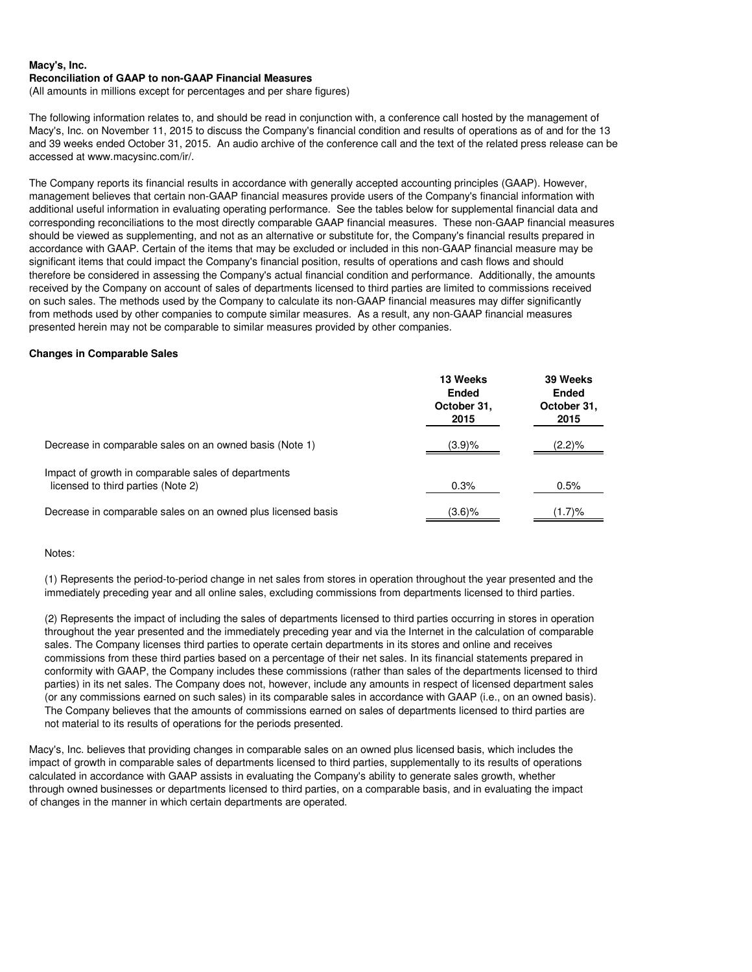(All amounts in millions except for percentages and per share figures)

The following information relates to, and should be read in conjunction with, a conference call hosted by the management of Macy's, Inc. on November 11, 2015 to discuss the Company's financial condition and results of operations as of and for the 13 and 39 weeks ended October 31, 2015. An audio archive of the conference call and the text of the related press release can be accessed at www.macysinc.com/ir/.

The Company reports its financial results in accordance with generally accepted accounting principles (GAAP). However, management believes that certain non-GAAP financial measures provide users of the Company's financial information with additional useful information in evaluating operating performance. See the tables below for supplemental financial data and corresponding reconciliations to the most directly comparable GAAP financial measures. These non-GAAP financial measures should be viewed as supplementing, and not as an alternative or substitute for, the Company's financial results prepared in accordance with GAAP. Certain of the items that may be excluded or included in this non-GAAP financial measure may be significant items that could impact the Company's financial position, results of operations and cash flows and should therefore be considered in assessing the Company's actual financial condition and performance. Additionally, the amounts received by the Company on account of sales of departments licensed to third parties are limited to commissions received on such sales. The methods used by the Company to calculate its non-GAAP financial measures may differ significantly from methods used by other companies to compute similar measures. As a result, any non-GAAP financial measures presented herein may not be comparable to similar measures provided by other companies.

#### **Changes in Comparable Sales**

|                                                                                           | 13 Weeks<br><b>Ended</b><br>October 31,<br>2015 | 39 Weeks<br><b>Ended</b><br>October 31,<br>2015 |
|-------------------------------------------------------------------------------------------|-------------------------------------------------|-------------------------------------------------|
| Decrease in comparable sales on an owned basis (Note 1)                                   | (3.9)%                                          | (2.2)%                                          |
| Impact of growth in comparable sales of departments<br>licensed to third parties (Note 2) | 0.3%                                            | 0.5%                                            |
| Decrease in comparable sales on an owned plus licensed basis                              | (3.6)%                                          | $(1.7) \%$                                      |

#### Notes:

(1) Represents the period-to-period change in net sales from stores in operation throughout the year presented and the immediately preceding year and all online sales, excluding commissions from departments licensed to third parties.

(2) Represents the impact of including the sales of departments licensed to third parties occurring in stores in operation throughout the year presented and the immediately preceding year and via the Internet in the calculation of comparable sales. The Company licenses third parties to operate certain departments in its stores and online and receives commissions from these third parties based on a percentage of their net sales. In its financial statements prepared in conformity with GAAP, the Company includes these commissions (rather than sales of the departments licensed to third parties) in its net sales. The Company does not, however, include any amounts in respect of licensed department sales (or any commissions earned on such sales) in its comparable sales in accordance with GAAP (i.e., on an owned basis). The Company believes that the amounts of commissions earned on sales of departments licensed to third parties are not material to its results of operations for the periods presented.

Macy's, Inc. believes that providing changes in comparable sales on an owned plus licensed basis, which includes the impact of growth in comparable sales of departments licensed to third parties, supplementally to its results of operations calculated in accordance with GAAP assists in evaluating the Company's ability to generate sales growth, whether through owned businesses or departments licensed to third parties, on a comparable basis, and in evaluating the impact of changes in the manner in which certain departments are operated.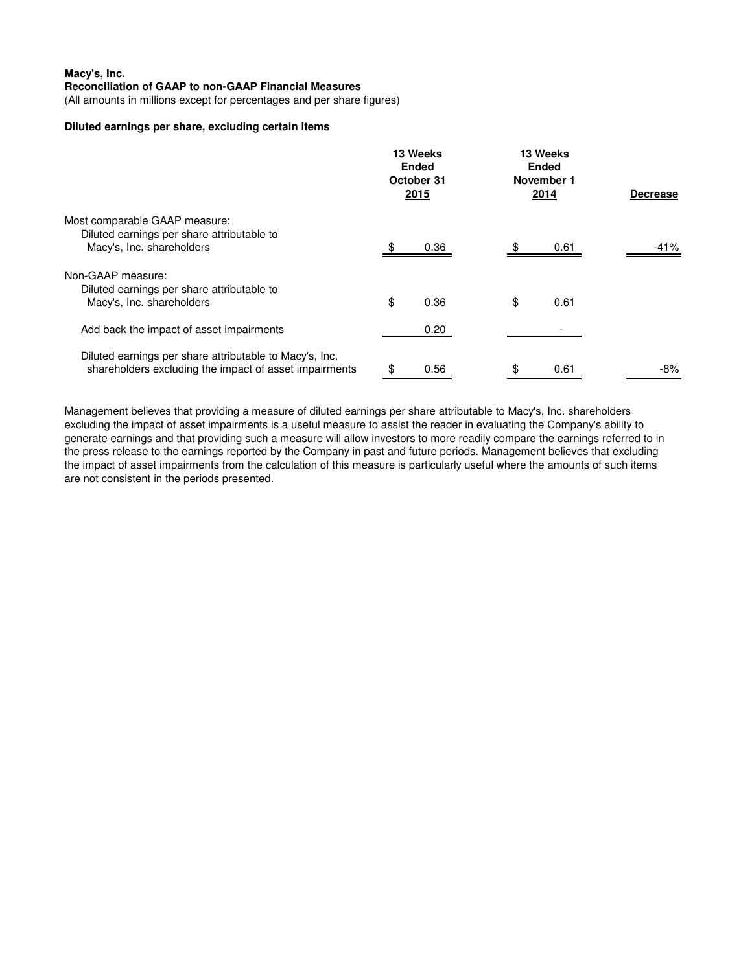(All amounts in millions except for percentages and per share figures)

# **Diluted earnings per share, excluding certain items**

|                                                                                                                   |    | 13 Weeks<br><b>Ended</b><br>October 31<br>2015 |    | 13 Weeks<br><b>Ended</b><br>November 1<br>2014 | <b>Decrease</b> |
|-------------------------------------------------------------------------------------------------------------------|----|------------------------------------------------|----|------------------------------------------------|-----------------|
| Most comparable GAAP measure:<br>Diluted earnings per share attributable to                                       |    |                                                |    |                                                |                 |
| Macy's, Inc. shareholders                                                                                         |    | 0.36                                           |    | 0.61                                           | -41%            |
| Non-GAAP measure:                                                                                                 |    |                                                |    |                                                |                 |
| Diluted earnings per share attributable to<br>Macy's, Inc. shareholders                                           | \$ | 0.36                                           | \$ | 0.61                                           |                 |
|                                                                                                                   |    |                                                |    |                                                |                 |
| Add back the impact of asset impairments                                                                          |    | 0.20                                           |    |                                                |                 |
| Diluted earnings per share attributable to Macy's, Inc.<br>shareholders excluding the impact of asset impairments | \$ | 0.56                                           | \$ | 0.61                                           | -8%             |

Management believes that providing a measure of diluted earnings per share attributable to Macy's, Inc. shareholders excluding the impact of asset impairments is a useful measure to assist the reader in evaluating the Company's ability to generate earnings and that providing such a measure will allow investors to more readily compare the earnings referred to in the press release to the earnings reported by the Company in past and future periods. Management believes that excluding the impact of asset impairments from the calculation of this measure is particularly useful where the amounts of such items are not consistent in the periods presented.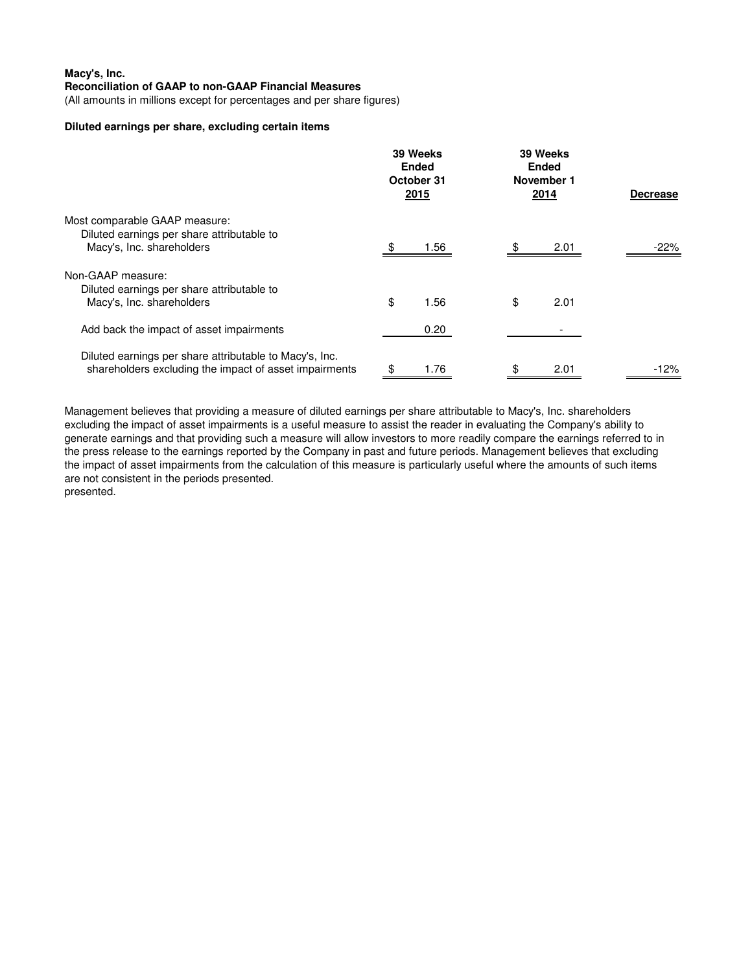(All amounts in millions except for percentages and per share figures)

## **Diluted earnings per share, excluding certain items**

| Most comparable GAAP measure:                                           |    | 39 Weeks<br><b>Ended</b><br>October 31<br>2015 |    | 39 Weeks<br><b>Ended</b><br>November 1<br>2014 | <b>Decrease</b> |
|-------------------------------------------------------------------------|----|------------------------------------------------|----|------------------------------------------------|-----------------|
|                                                                         |    |                                                |    |                                                |                 |
| Diluted earnings per share attributable to<br>Macy's, Inc. shareholders |    | 1.56                                           |    | 2.01                                           | -22%            |
| Non-GAAP measure:                                                       |    |                                                |    |                                                |                 |
| Diluted earnings per share attributable to<br>Macy's, Inc. shareholders | \$ | 1.56                                           | \$ | 2.01                                           |                 |
|                                                                         |    |                                                |    |                                                |                 |
| Add back the impact of asset impairments                                |    | 0.20                                           |    |                                                |                 |
| Diluted earnings per share attributable to Macy's, Inc.                 |    |                                                |    |                                                |                 |
| shareholders excluding the impact of asset impairments                  | \$ | 1.76                                           | \$ | 2.01                                           | -12%            |

Management believes that providing a measure of diluted earnings per share attributable to Macy's, Inc. shareholders excluding the impact of asset impairments is a useful measure to assist the reader in evaluating the Company's ability to generate earnings and that providing such a measure will allow investors to more readily compare the earnings referred to in the press release to the earnings reported by the Company in past and future periods. Management believes that excluding the impact of asset impairments from the calculation of this measure is particularly useful where the amounts of such items are not consistent in the periods presented. presented.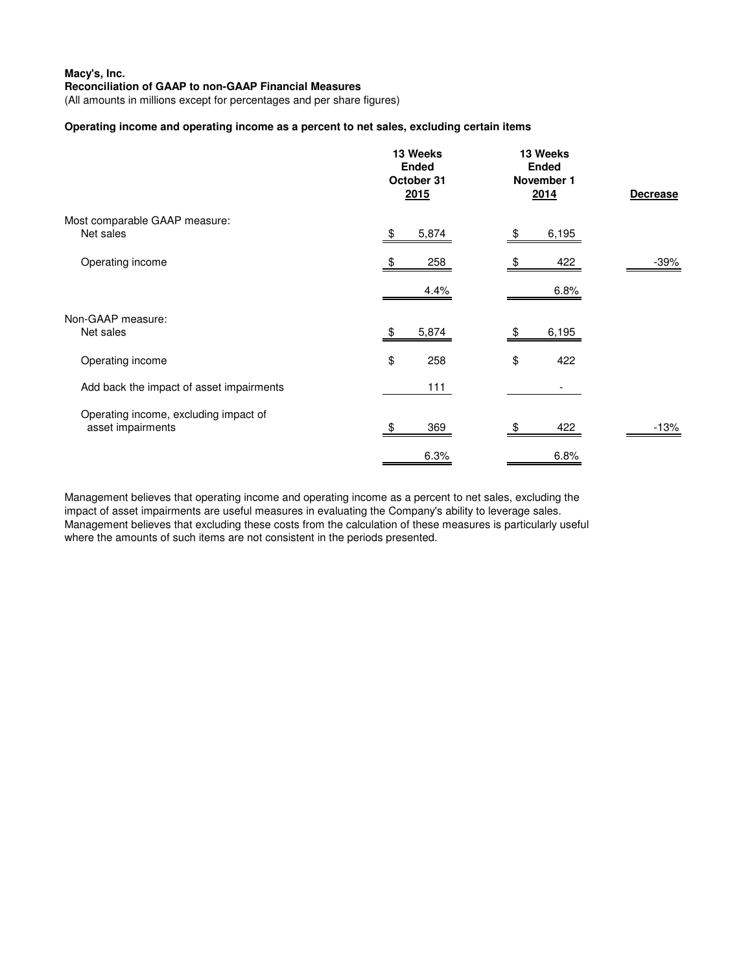(All amounts in millions except for percentages and per share figures)

# **Operating income and operating income as a percent to net sales, excluding certain items**

|                                                            | 13 Weeks<br><b>Ended</b><br>October 31<br>2015 | 13 Weeks<br><b>Ended</b><br>November 1<br>2014 | <b>Decrease</b> |
|------------------------------------------------------------|------------------------------------------------|------------------------------------------------|-----------------|
| Most comparable GAAP measure:<br>Net sales                 | 5,874<br>\$.                                   | \$<br>6,195                                    |                 |
| Operating income                                           | 258<br>4.4%                                    | 422<br>6.8%                                    | -39%            |
| Non-GAAP measure:<br>Net sales                             | 5,874                                          | 6,195                                          |                 |
| Operating income                                           | \$<br>258                                      | \$<br>422                                      |                 |
| Add back the impact of asset impairments                   | 111                                            |                                                |                 |
| Operating income, excluding impact of<br>asset impairments | 369                                            | 422<br>\$.                                     | $-13%$          |
|                                                            | 6.3%                                           | 6.8%                                           |                 |

Management believes that operating income and operating income as a percent to net sales, excluding the impact of asset impairments are useful measures in evaluating the Company's ability to leverage sales. Management believes that excluding these costs from the calculation of these measures is particularly useful where the amounts of such items are not consistent in the periods presented.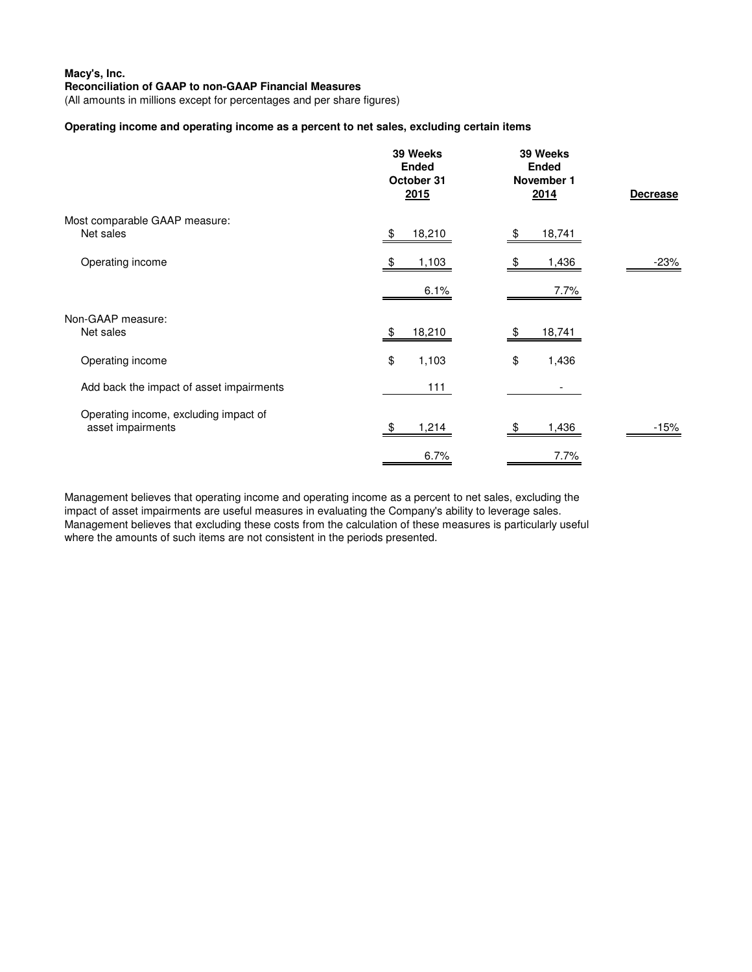(All amounts in millions except for percentages and per share figures)

# **Operating income and operating income as a percent to net sales, excluding certain items**

| 39 Weeks<br><b>Ended</b><br>October 31<br>2015             |              | 39 Weeks<br><b>Ended</b><br>November 1<br>2014 | <b>Decrease</b> |  |
|------------------------------------------------------------|--------------|------------------------------------------------|-----------------|--|
| Most comparable GAAP measure:<br>Net sales                 | 18,210<br>\$ | \$<br>18,741                                   |                 |  |
| Operating income                                           | 1,103        | 1,436                                          | -23%            |  |
|                                                            | 6.1%         | 7.7%                                           |                 |  |
| Non-GAAP measure:<br>Net sales                             | 18,210<br>\$ | 18,741                                         |                 |  |
| Operating income                                           | \$<br>1,103  | \$<br>1,436                                    |                 |  |
| Add back the impact of asset impairments                   | 111          |                                                |                 |  |
| Operating income, excluding impact of<br>asset impairments | 1,214        | 1,436                                          | $-15%$          |  |
|                                                            | 6.7%         | 7.7%                                           |                 |  |

Management believes that operating income and operating income as a percent to net sales, excluding the impact of asset impairments are useful measures in evaluating the Company's ability to leverage sales. Management believes that excluding these costs from the calculation of these measures is particularly useful where the amounts of such items are not consistent in the periods presented.